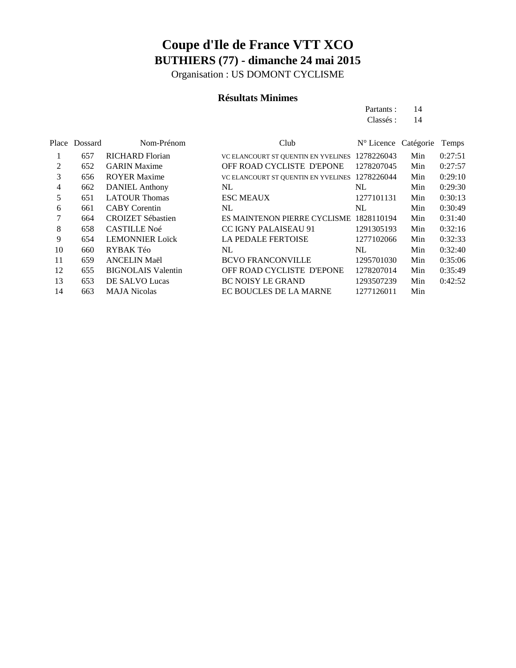Organisation : US DOMONT CYCLISME

#### **Résultats Minimes**

| Partants : | 14 |
|------------|----|
| Classés :  | 14 |

|    | Place Dossard | Nom-Prénom                | Club                                | N° Licence Catégorie |     | Temps   |
|----|---------------|---------------------------|-------------------------------------|----------------------|-----|---------|
|    | 657           | <b>RICHARD Florian</b>    | VC ELANCOURT ST QUENTIN EN YVELINES | 1278226043           | Min | 0:27:51 |
| 2  | 652           | <b>GARIN Maxime</b>       | OFF ROAD CYCLISTE D'EPONE           | 1278207045           | Min | 0:27:57 |
| 3  | 656           | <b>ROYER Maxime</b>       | VC ELANCOURT ST QUENTIN EN YVELINES | 1278226044           | Min | 0:29:10 |
| 4  | 662           | <b>DANIEL Anthony</b>     | NL                                  | NL                   | Min | 0:29:30 |
| 5  | 651           | <b>LATOUR Thomas</b>      | <b>ESC MEAUX</b>                    | 1277101131           | Min | 0:30:13 |
| 6  | 661           | <b>CABY</b> Corentin      | NL                                  | NL                   | Min | 0:30:49 |
| 7  | 664           | <b>CROIZET Sébastien</b>  | ES MAINTENON PIERRE CYCLISME        | 1828110194           | Min | 0:31:40 |
| 8  | 658           | <b>CASTILLE Noé</b>       | CC IGNY PALAISEAU 91                | 1291305193           | Min | 0:32:16 |
| 9  | 654           | <b>LEMONNIER Loïck</b>    | <b>LA PEDALE FERTOISE</b>           | 1277102066           | Min | 0:32:33 |
| 10 | 660           | RYBAK Téo                 | NL.                                 | NL                   | Min | 0:32:40 |
| 11 | 659           | <b>ANCELIN Maël</b>       | <b>BCVO FRANCONVILLE</b>            | 1295701030           | Min | 0:35:06 |
| 12 | 655           | <b>BIGNOLAIS</b> Valentin | OFF ROAD CYCLISTE D'EPONE           | 1278207014           | Min | 0:35:49 |
| 13 | 653           | DE SALVO Lucas            | <b>BC NOISY LE GRAND</b>            | 1293507239           | Min | 0:42:52 |
| 14 | 663           | <b>MAJA Nicolas</b>       | EC BOUCLES DE LA MARNE              | 1277126011           | Min |         |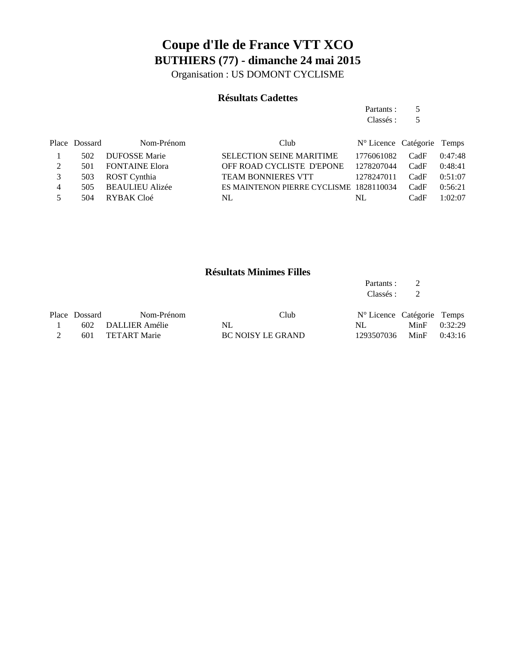Organisation : US DOMONT CYCLISME

#### **Résultats Cadettes**

|    |               |                        |                                         | Partants :                    | 5    |         |
|----|---------------|------------------------|-----------------------------------------|-------------------------------|------|---------|
|    |               |                        |                                         | Classés :                     | 5    |         |
|    | Place Dossard | Nom-Prénom             | Club                                    | $N^{\circ}$ Licence Catégorie |      | Temps   |
|    | 502           | <b>DUFOSSE Marie</b>   | <b>SELECTION SEINE MARITIME</b>         | 1776061082                    | CadF | 0:47:48 |
| 2  | 501           | <b>FONTAINE Elora</b>  | OFF ROAD CYCLISTE D'EPONE               | 1278207044                    | CadF | 0:48:41 |
| 3  | 503           | ROST Cynthia           | <b>TEAM BONNIERES VTT</b>               | 1278247011                    | CadF | 0:51:07 |
| 4  | 505           | <b>BEAULIEU Alizée</b> | ES MAINTENON PIERRE CYCLISME 1828110034 |                               | CadF | 0:56:21 |
| 5. | 504           | RYBAK Cloé             | NL                                      | NL                            | CadF | 1:02:07 |
|    |               |                        |                                         |                               |      |         |

#### **Résultats Minimes Filles**

| Partants: |   |
|-----------|---|
| Classés : | 2 |

| Place Dossard | Nom-Prénom         | Club              | N° Licence Catégorie Temps |                |  |
|---------------|--------------------|-------------------|----------------------------|----------------|--|
|               | 602 DALLIER Amélie | NL.               | NL.                        | MinF $0:32:29$ |  |
|               | 601 TETART Marie   | BC NOISY LE GRAND | 1293507036 MinF 0:43:16    |                |  |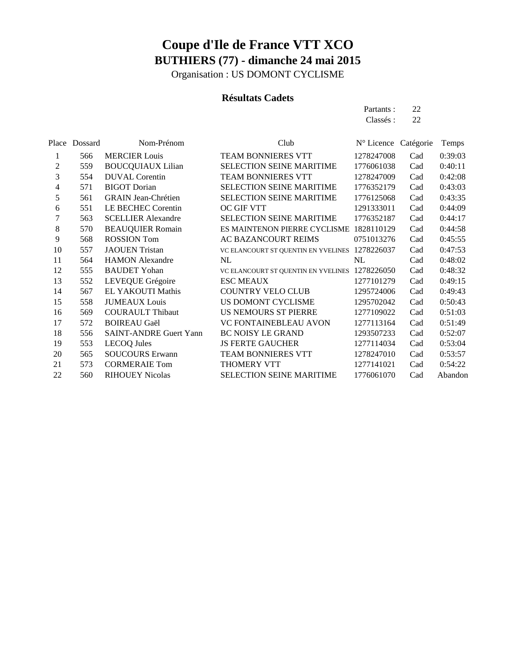Organisation : US DOMONT CYCLISME

#### **Résultats Cadets**

Partants : 22 Classés : 22

| Place | Dossard | Nom-Prénom                    | Club                                | N° Licence Catégorie |     | Temps   |
|-------|---------|-------------------------------|-------------------------------------|----------------------|-----|---------|
| 1     | 566     | <b>MERCIER Louis</b>          | <b>TEAM BONNIERES VTT</b>           | 1278247008           | Cad | 0:39:03 |
| 2     | 559     | <b>BOUCQUIAUX Lilian</b>      | SELECTION SEINE MARITIME            | 1776061038           | Cad | 0:40:11 |
| 3     | 554     | <b>DUVAL</b> Corentin         | TEAM BONNIERES VTT                  | 1278247009           | Cad | 0:42:08 |
| 4     | 571     | <b>BIGOT</b> Dorian           | <b>SELECTION SEINE MARITIME</b>     | 1776352179           | Cad | 0:43:03 |
| 5     | 561     | <b>GRAIN Jean-Chrétien</b>    | <b>SELECTION SEINE MARITIME</b>     | 1776125068           | Cad | 0:43:35 |
| 6     | 551     | LE BECHEC Corentin            | OC GIF VTT                          | 1291333011           | Cad | 0:44:09 |
| 7     | 563     | <b>SCELLIER Alexandre</b>     | <b>SELECTION SEINE MARITIME</b>     | 1776352187           | Cad | 0:44:17 |
| 8     | 570     | <b>BEAUQUIER Romain</b>       | ES MAINTENON PIERRE CYCLISME        | 1828110129           | Cad | 0:44:58 |
| 9     | 568     | <b>ROSSION Tom</b>            | AC BAZANCOURT REIMS                 | 0751013276           | Cad | 0:45:55 |
| 10    | 557     | <b>JAOUEN Tristan</b>         | VC ELANCOURT ST QUENTIN EN YVELINES | 1278226037           | Cad | 0:47:53 |
| 11    | 564     | <b>HAMON</b> Alexandre        | NL                                  | NL                   | Cad | 0:48:02 |
| 12    | 555     | <b>BAUDET</b> Yohan           | VC ELANCOURT ST QUENTIN EN YVELINES | 1278226050           | Cad | 0:48:32 |
| 13    | 552     | LEVEQUE Grégoire              | <b>ESC MEAUX</b>                    | 1277101279           | Cad | 0:49:15 |
| 14    | 567     | EL YAKOUTI Mathis             | <b>COUNTRY VELO CLUB</b>            | 1295724006           | Cad | 0:49:43 |
| 15    | 558     | <b>JUMEAUX</b> Louis          | US DOMONT CYCLISME                  | 1295702042           | Cad | 0:50:43 |
| 16    | 569     | <b>COURAULT Thibaut</b>       | <b>US NEMOURS ST PIERRE</b>         | 1277109022           | Cad | 0:51:03 |
| 17    | 572     | <b>BOIREAU Gaël</b>           | VC FONTAINEBLEAU AVON               | 1277113164           | Cad | 0:51:49 |
| 18    | 556     | <b>SAINT-ANDRE Guert Yann</b> | <b>BC NOISY LE GRAND</b>            | 1293507233           | Cad | 0:52:07 |
| 19    | 553     | <b>LECOQ</b> Jules            | <b>JS FERTE GAUCHER</b>             | 1277114034           | Cad | 0:53:04 |
| 20    | 565     | <b>SOUCOURS Erwann</b>        | <b>TEAM BONNIERES VTT</b>           | 1278247010           | Cad | 0:53:57 |
| 21    | 573     | <b>CORMERAIE Tom</b>          | THOMERY VTT                         | 1277141021           | Cad | 0:54:22 |
| 22    | 560     | <b>RIHOUEY Nicolas</b>        | <b>SELECTION SEINE MARITIME</b>     | 1776061070           | Cad | Abandon |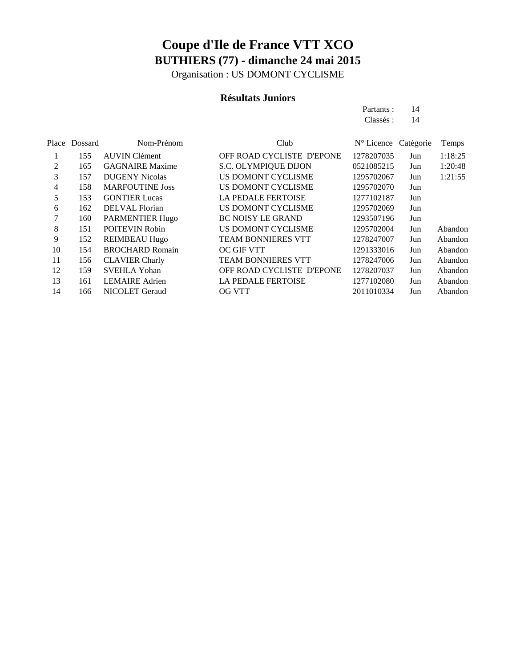Organisation : US DOMONT CYCLISME

#### **Résultats Juniors**

| Partants: | 14 |
|-----------|----|
| Classés:  | 14 |

|    | Place Dossard | Nom-Prénom             | Club                      | N° Licence Catégorie |     | Temps   |
|----|---------------|------------------------|---------------------------|----------------------|-----|---------|
|    | 155           | <b>AUVIN Clément</b>   | OFF ROAD CYCLISTE D'EPONE | 1278207035           | Jun | 1:18:25 |
| 2  | 165           | <b>GAGNAIRE Maxime</b> | S.C. OLYMPIQUE DIJON      | 0521085215           | Jun | 1:20:48 |
| 3  | 157           | <b>DUGENY Nicolas</b>  | US DOMONT CYCLISME        | 1295702067           | Jun | 1:21:55 |
| 4  | 158           | <b>MARFOUTINE Joss</b> | US DOMONT CYCLISME        | 1295702070           | Jun |         |
| 5  | 153           | <b>GONTIER Lucas</b>   | <b>LA PEDALE FERTOISE</b> | 1277102187           | Jun |         |
| 6  | 162           | <b>DELVAL</b> Florian  | US DOMONT CYCLISME        | 1295702069           | Jun |         |
| 7  | 160           | PARMENTIER Hugo        | <b>BC NOISY LE GRAND</b>  | 1293507196           | Jun |         |
| 8  | 151           | <b>POITEVIN Robin</b>  | US DOMONT CYCLISME        | 1295702004           | Jun | Abandon |
| 9  | 152           | <b>REIMBEAU Hugo</b>   | <b>TEAM BONNIERES VTT</b> | 1278247007           | Jun | Abandon |
| 10 | 154           | <b>BROCHARD Romain</b> | <b>OC GIF VTT</b>         | 1291333016           | Jun | Abandon |
| 11 | 156           | <b>CLAVIER Charly</b>  | <b>TEAM BONNIERES VTT</b> | 1278247006           | Jun | Abandon |
| 12 | 159           | <b>SVEHLA Yohan</b>    | OFF ROAD CYCLISTE D'EPONE | 1278207037           | Jun | Abandon |
| 13 | 161           | <b>LEMAIRE</b> Adrien  | <b>LA PEDALE FERTOISE</b> | 1277102080           | Jun | Abandon |
| 14 | 166           | <b>NICOLET Geraud</b>  | <b>OG VTT</b>             | 2011010334           | Jun | Abandon |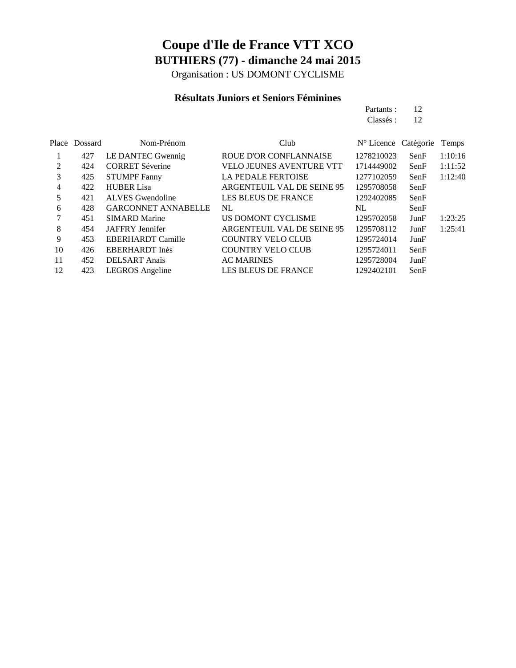Organisation : US DOMONT CYCLISME

#### **Résultats Juniors et Seniors Féminines**

|               |                        |                          | Partants :                          | 12   |         |
|---------------|------------------------|--------------------------|-------------------------------------|------|---------|
|               |                        |                          | Classés :                           | -12  |         |
|               |                        |                          |                                     |      |         |
| Place Dossard | Nom-Prénom             | Club                     | $N^{\circ}$ Licence Catégorie Temps |      |         |
| 427           | LE DANTEC Gwennig      | ROUE D'OR CONFLANNAISE   | 1278210023                          | SenF | 1:10:16 |
| 424           | <b>CORRET Séverine</b> | VELO JEUNES AVENTURE VTT | 1714449002                          | SenF | 1:11:52 |

| 2               | 424 | <b>CORRET Séverine</b>     | <b>VELO JEUNES AVENTURE VTT</b> | 1714449002 | SenF | 1:11:52 |
|-----------------|-----|----------------------------|---------------------------------|------------|------|---------|
| 3               | 425 | <b>STUMPF Fanny</b>        | <b>LA PEDALE FERTOISE</b>       | 1277102059 | SenF | 1:12:40 |
| $\overline{4}$  | 422 | <b>HUBER Lisa</b>          | ARGENTEUIL VAL DE SEINE 95      | 1295708058 | SenF |         |
| 5               | 421 | <b>ALVES</b> Gwendoline    | <b>LES BLEUS DE FRANCE</b>      | 1292402085 | SenF |         |
| 6               | 428 | <b>GARCONNET ANNABELLE</b> | NL                              | NL         | SenF |         |
| $7\phantom{.0}$ | 451 | <b>SIMARD Marine</b>       | US DOMONT CYCLISME              | 1295702058 | JunF | 1:23:25 |
| 8               | 454 | JAFFRY Jennifer            | ARGENTEUIL VAL DE SEINE 95      | 1295708112 | JunF | 1:25:41 |
| 9               | 453 | <b>EBERHARDT Camille</b>   | <b>COUNTRY VELO CLUB</b>        | 1295724014 | JunF |         |
| 10              | 426 | EBERHARDT Inès             | <b>COUNTRY VELO CLUB</b>        | 1295724011 | SenF |         |
| 11              | 452 | <b>DELSART</b> Anaïs       | <b>AC MARINES</b>               | 1295728004 | JunF |         |
| 12              | 423 | LEGROS Angeline            | <b>LES BLEUS DE FRANCE</b>      | 1292402101 | SenF |         |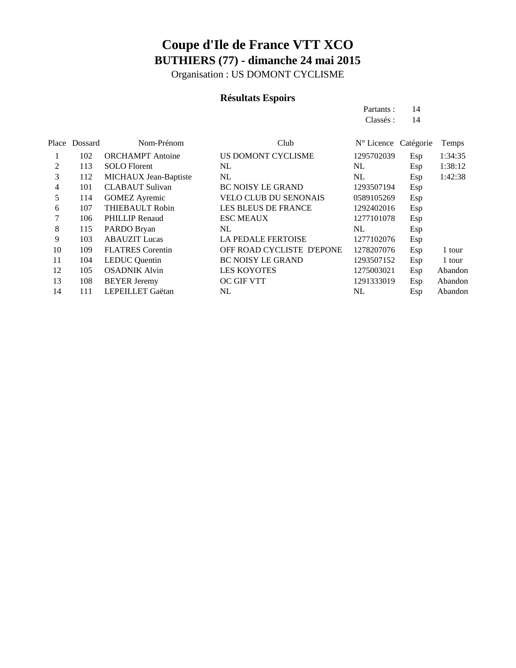Organisation : US DOMONT CYCLISME

### **Résultats Espoirs**

Partants : 14 Classés: 14

| Place          | Dossard | Nom-Prénom              | Club                         | N° Licence Catégorie |     | Temps   |
|----------------|---------|-------------------------|------------------------------|----------------------|-----|---------|
|                | 102     | <b>ORCHAMPT</b> Antoine | US DOMONT CYCLISME           | 1295702039           | Esp | 1:34:35 |
| $\mathfrak{D}$ | 113     | <b>SOLO</b> Florent     | NL                           | NL                   | Esp | 1:38:12 |
| 3              | 112     | MICHAUX Jean-Baptiste   | NL                           | NL                   | Esp | 1:42:38 |
| 4              | 101     | <b>CLABAUT</b> Sulivan  | <b>BC NOISY LE GRAND</b>     | 1293507194           | Esp |         |
| 5              | 114     | <b>GOMEZ Ayremic</b>    | <b>VELO CLUB DU SENONAIS</b> | 0589105269           | Esp |         |
| 6              | 107     | THIEBAULT Robin         | <b>LES BLEUS DE FRANCE</b>   | 1292402016           | Esp |         |
| 7              | 106     | <b>PHILLIP</b> Renaud   | <b>ESC MEAUX</b>             | 1277101078           | Esp |         |
| 8              | 115     | PARDO Bryan             | NL                           | NL                   | Esp |         |
| 9              | 103     | <b>ABAUZIT</b> Lucas    | <b>LA PEDALE FERTOISE</b>    | 1277102076           | Esp |         |
| 10             | 109     | <b>FLATRES</b> Corentin | OFF ROAD CYCLISTE D'EPONE    | 1278207076           | Esp | 1 tour  |
| 11             | 104     | <b>LEDUC</b> Quentin    | <b>BC NOISY LE GRAND</b>     | 1293507152           | Esp | 1 tour  |
| 12             | 105     | <b>OSADNIK Alvin</b>    | <b>LES KOYOTES</b>           | 1275003021           | Esp | Abandon |
| 13             | 108     | <b>BEYER Jeremy</b>     | <b>OC GIF VTT</b>            | 1291333019           | Esp | Abandon |
| 14             | 111     | LEPEILLET Gaëtan        | NL                           | NL                   | Esp | Abandon |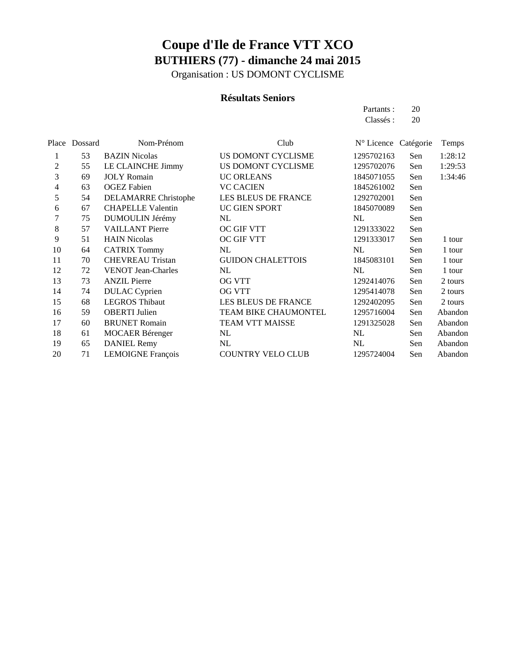Organisation : US DOMONT CYCLISME

#### **Résultats Seniors**

Partants : 20 Classés : 20

|                | Place Dossard | Nom-Prénom                  | Club                     | N° Licence Catégorie |     | Temps   |
|----------------|---------------|-----------------------------|--------------------------|----------------------|-----|---------|
| 1              | 53            | <b>BAZIN Nicolas</b>        | US DOMONT CYCLISME       | 1295702163           | Sen | 1:28:12 |
| $\overline{2}$ | 55            | LE CLAINCHE Jimmy           | US DOMONT CYCLISME       | 1295702076           | Sen | 1:29:53 |
| 3              | 69            | <b>JOLY</b> Romain          | <b>UC ORLEANS</b>        | 1845071055           | Sen | 1:34:46 |
| 4              | 63            | <b>OGEZ</b> Fabien          | <b>VC CACIEN</b>         | 1845261002           | Sen |         |
| 5              | 54            | <b>DELAMARRE Christophe</b> | LES BLEUS DE FRANCE      | 1292702001           | Sen |         |
| 6              | 67            | <b>CHAPELLE Valentin</b>    | UC GIEN SPORT            | 1845070089           | Sen |         |
| 7              | 75            | DUMOULIN Jérémy             | NL                       | NL                   | Sen |         |
| 8              | 57            | <b>VAILLANT</b> Pierre      | <b>OC GIF VTT</b>        | 1291333022           | Sen |         |
| 9              | 51            | <b>HAIN Nicolas</b>         | OC GIF VTT               | 1291333017           | Sen | 1 tour  |
| 10             | 64            | <b>CATRIX Tommy</b>         | NL                       | NL                   | Sen | 1 tour  |
| 11             | 70            | <b>CHEVREAU Tristan</b>     | <b>GUIDON CHALETTOIS</b> | 1845083101           | Sen | 1 tour  |
| 12             | 72            | <b>VENOT Jean-Charles</b>   | NL                       | NL                   | Sen | 1 tour  |
| 13             | 73            | <b>ANZIL Pierre</b>         | <b>OG VTT</b>            | 1292414076           | Sen | 2 tours |
| 14             | 74            | <b>DULAC</b> Cyprien        | <b>OG VTT</b>            | 1295414078           | Sen | 2 tours |
| 15             | 68            | <b>LEGROS Thibaut</b>       | LES BLEUS DE FRANCE      | 1292402095           | Sen | 2 tours |
| 16             | 59            | <b>OBERTI</b> Julien        | TEAM BIKE CHAUMONTEL     | 1295716004           | Sen | Abandon |
| 17             | 60            | <b>BRUNET</b> Romain        | <b>TEAM VTT MAISSE</b>   | 1291325028           | Sen | Abandon |
| 18             | 61            | <b>MOCAER Bérenger</b>      | NL                       | NL                   | Sen | Abandon |
| 19             | 65            | <b>DANIEL Remy</b>          | NL                       | NL                   | Sen | Abandon |
| 20             | 71            | <b>LEMOIGNE François</b>    | <b>COUNTRY VELO CLUB</b> | 1295724004           | Sen | Abandon |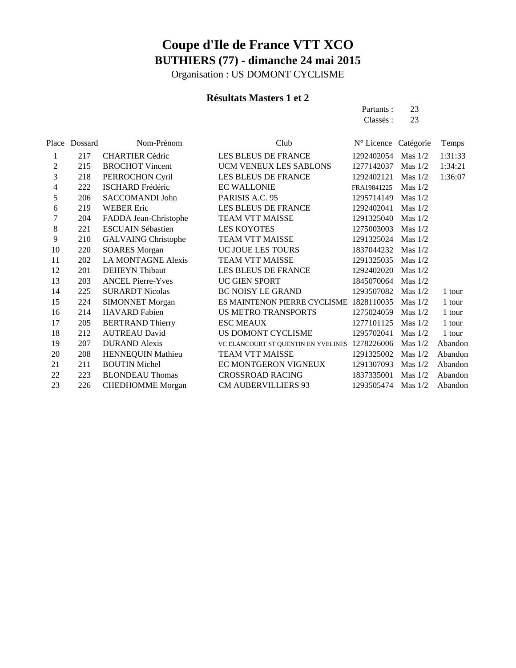Organisation : US DOMONT CYCLISME

#### **Résultats Masters 1 et 2**

Partants : 23 Classés : 23

| Place | Dossard | Nom-Prénom                 | Club                                    | $N^{\circ}$ Licence | Catégorie | Temps   |
|-------|---------|----------------------------|-----------------------------------------|---------------------|-----------|---------|
| 1     | 217     | <b>CHARTIER Cédric</b>     | LES BLEUS DE FRANCE                     | 1292402054 Mas 1/2  |           | 1:31:33 |
| 2     | 215     | <b>BROCHOT Vincent</b>     | UCM VENEUX LES SABLONS                  | 1277142037          | Mas $1/2$ | 1:34:21 |
| 3     | 218     | PERROCHON Cyril            | LES BLEUS DE FRANCE                     | 1292402121          | Mas $1/2$ | 1:36:07 |
| 4     | 222     | <b>ISCHARD Frédéric</b>    | <b>EC WALLONIE</b>                      | FRA19841225         | Mas $1/2$ |         |
| 5     | 206     | SACCOMANDI John            | PARISIS A.C. 95                         | 1295714149          | Mas $1/2$ |         |
| 6     | 219     | <b>WEBER Eric</b>          | LES BLEUS DE FRANCE                     | 1292402041          | Mas $1/2$ |         |
| 7     | 204     | FADDA Jean-Christophe      | <b>TEAM VTT MAISSE</b>                  | 1291325040          | Mas $1/2$ |         |
| 8     | 221     | <b>ESCUAIN Sébastien</b>   | <b>LES KOYOTES</b>                      | 1275003003          | Mas $1/2$ |         |
| 9     | 210     | <b>GALVAING Christophe</b> | TEAM VTT MAISSE                         | 1291325024          | Mas $1/2$ |         |
| 10    | 220     | <b>SOARES Morgan</b>       | UC JOUE LES TOURS                       | 1837044232          | Mas $1/2$ |         |
| 11    | 202     | <b>LA MONTAGNE Alexis</b>  | <b>TEAM VTT MAISSE</b>                  | 1291325035          | Mas $1/2$ |         |
| 12    | 201     | <b>DEHEYN</b> Thibaut      | LES BLEUS DE FRANCE                     | 1292402020          | Mas $1/2$ |         |
| 13    | 203     | <b>ANCEL Pierre-Yves</b>   | UC GIEN SPORT                           | 1845070064          | Mas $1/2$ |         |
| 14    | 225     | <b>SURARDT Nicolas</b>     | <b>BC NOISY LE GRAND</b>                | 1293507082          | Mas $1/2$ | 1 tour  |
| 15    | 224     | <b>SIMONNET Morgan</b>     | ES MAINTENON PIERRE CYCLISME 1828110035 |                     | Mas $1/2$ | 1 tour  |
| 16    | 214     | <b>HAVARD</b> Fabien       | <b>US METRO TRANSPORTS</b>              | 1275024059          | Mas $1/2$ | 1 tour  |
| 17    | 205     | <b>BERTRAND Thierry</b>    | <b>ESC MEAUX</b>                        | 1277101125          | Mas $1/2$ | 1 tour  |
| 18    | 212     | <b>AUTREAU David</b>       | US DOMONT CYCLISME                      | 1295702041          | Mas $1/2$ | 1 tour  |
| 19    | 207     | <b>DURAND</b> Alexis       | VC ELANCOURT ST QUENTIN EN YVELINES     | 1278226006          | Mas $1/2$ | Abandon |
| 20    | 208     | HENNEQUIN Mathieu          | TEAM VTT MAISSE                         | 1291325002          | Mas $1/2$ | Abandon |
| 21    | 211     | <b>BOUTIN Michel</b>       | EC MONTGERON VIGNEUX                    | 1291307093          | Mas $1/2$ | Abandon |
| 22    | 223     | <b>BLONDEAU Thomas</b>     | <b>CROSSROAD RACING</b>                 | 1837335001          | Mas $1/2$ | Abandon |
| 23    | 226     | <b>CHEDHOMME</b> Morgan    | <b>CM AUBERVILLIERS 93</b>              | 1293505474          | Mas $1/2$ | Abandon |
|       |         |                            |                                         |                     |           |         |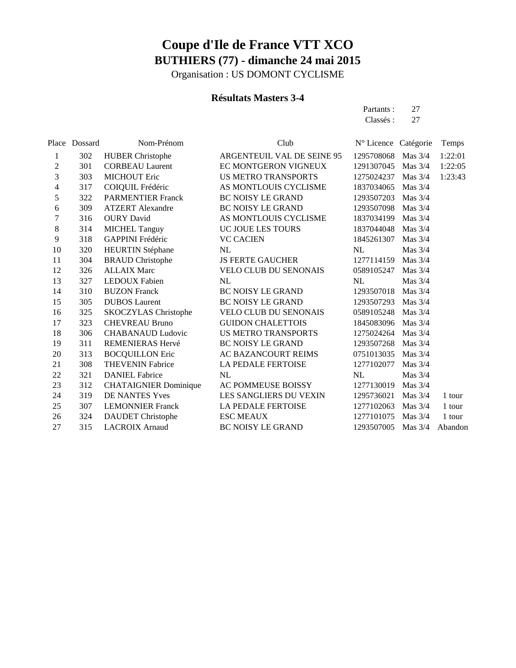Organisation : US DOMONT CYCLISME

#### **Résultats Masters 3-4**

Partants : 27 Classés: 27

|    | Place Dossard | Nom-Prénom                   | Club                         | N° Licence Catégorie |           | Temps   |
|----|---------------|------------------------------|------------------------------|----------------------|-----------|---------|
| 1  | 302           | <b>HUBER Christophe</b>      | ARGENTEUIL VAL DE SEINE 95   | 1295708068           | Mas $3/4$ | 1:22:01 |
| 2  | 301           | <b>CORBEAU Laurent</b>       | EC MONTGERON VIGNEUX         | 1291307045           | Mas $3/4$ | 1:22:05 |
| 3  | 303           | <b>MICHOUT Eric</b>          | <b>US METRO TRANSPORTS</b>   | 1275024237           | Mas $3/4$ | 1:23:43 |
| 4  | 317           | COIQUIL Frédéric             | AS MONTLOUIS CYCLISME        | 1837034065           | Mas $3/4$ |         |
| 5  | 322           | <b>PARMENTIER Franck</b>     | <b>BC NOISY LE GRAND</b>     | 1293507203           | Mas $3/4$ |         |
| 6  | 309           | <b>ATZERT</b> Alexandre      | <b>BC NOISY LE GRAND</b>     | 1293507098           | Mas $3/4$ |         |
| 7  | 316           | <b>OURY</b> David            | AS MONTLOUIS CYCLISME        | 1837034199           | Mas $3/4$ |         |
| 8  | 314           | <b>MICHEL Tanguy</b>         | UC JOUE LES TOURS            | 1837044048           | Mas $3/4$ |         |
| 9  | 318           | GAPPINI Frédéric             | <b>VC CACIEN</b>             | 1845261307           | Mas 3/4   |         |
| 10 | 320           | <b>HEURTIN</b> Stéphane      | NL                           | NL                   | Mas $3/4$ |         |
| 11 | 304           | <b>BRAUD</b> Christophe      | <b>JS FERTE GAUCHER</b>      | 1277114159           | Mas $3/4$ |         |
| 12 | 326           | <b>ALLAIX Marc</b>           | <b>VELO CLUB DU SENONAIS</b> | 0589105247           | Mas $3/4$ |         |
| 13 | 327           | <b>LEDOUX Fabien</b>         | NL                           | NL                   | Mas 3/4   |         |
| 14 | 310           | <b>BUZON Franck</b>          | <b>BC NOISY LE GRAND</b>     | 1293507018           | Mas $3/4$ |         |
| 15 | 305           | <b>DUBOS</b> Laurent         | <b>BC NOISY LE GRAND</b>     | 1293507293           | Mas $3/4$ |         |
| 16 | 325           | <b>SKOCZYLAS Christophe</b>  | <b>VELO CLUB DU SENONAIS</b> | 0589105248           | Mas $3/4$ |         |
| 17 | 323           | <b>CHEVREAU Bruno</b>        | <b>GUIDON CHALETTOIS</b>     | 1845083096           | Mas $3/4$ |         |
| 18 | 306           | <b>CHABANAUD Ludovic</b>     | <b>US METRO TRANSPORTS</b>   | 1275024264           | Mas $3/4$ |         |
| 19 | 311           | REMENIERAS Hervé             | <b>BC NOISY LE GRAND</b>     | 1293507268           | Mas $3/4$ |         |
| 20 | 313           | <b>BOCQUILLON Eric</b>       | AC BAZANCOURT REIMS          | 0751013035           | Mas $3/4$ |         |
| 21 | 308           | <b>THEVENIN Fabrice</b>      | LA PEDALE FERTOISE           | 1277102077           | Mas $3/4$ |         |
| 22 | 321           | <b>DANIEL Fabrice</b>        | NL                           | NL                   | Mas 3/4   |         |
| 23 | 312           | <b>CHATAIGNIER Dominique</b> | AC POMMEUSE BOISSY           | 1277130019           | Mas $3/4$ |         |
| 24 | 319           | DE NANTES Yves               | LES SANGLIERS DU VEXIN       | 1295736021           | Mas $3/4$ | 1 tour  |
| 25 | 307           | <b>LEMONNIER Franck</b>      | <b>LA PEDALE FERTOISE</b>    | 1277102063           | Mas $3/4$ | 1 tour  |
| 26 | 324           | <b>DAUDET</b> Christophe     | <b>ESC MEAUX</b>             | 1277101075           | Mas $3/4$ | 1 tour  |
| 27 | 315           | <b>LACROIX Arnaud</b>        | <b>BC NOISY LE GRAND</b>     | 1293507005           | Mas $3/4$ | Abandon |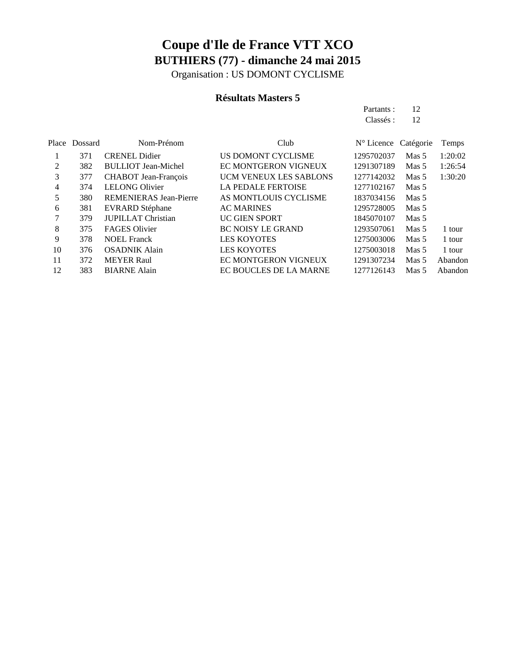Organisation : US DOMONT CYCLISME

#### **Résultats Masters 5**

Partants : 12 Classés : 12

| Place | Dossard | Nom-Prénom                    | Club                          | N° Licence Catégorie |                  | Temps   |
|-------|---------|-------------------------------|-------------------------------|----------------------|------------------|---------|
|       | 371     | <b>CRENEL Didier</b>          | US DOMONT CYCLISME            | 1295702037           | Mas <sub>5</sub> | 1:20:02 |
| 2     | 382     | <b>BULLIOT</b> Jean-Michel    | EC MONTGERON VIGNEUX          | 1291307189           | Mas <sub>5</sub> | 1:26:54 |
| 3     | 377     | <b>CHABOT</b> Jean-François   | <b>UCM VENEUX LES SABLONS</b> | 1277142032           | Mas <sub>5</sub> | 1:30:20 |
| 4     | 374     | <b>LELONG Olivier</b>         | <b>LA PEDALE FERTOISE</b>     | 1277102167           | Mas 5            |         |
| 5     | 380     | <b>REMENIERAS Jean-Pierre</b> | AS MONTLOUIS CYCLISME         | 1837034156           | Mas 5            |         |
| 6     | 381     | EVRARD Stéphane               | <b>AC MARINES</b>             | 1295728005           | Mas <sub>5</sub> |         |
|       | 379     | <b>JUPILLAT Christian</b>     | <b>UC GIEN SPORT</b>          | 1845070107           | Mas 5            |         |
| 8     | 375     | <b>FAGES Olivier</b>          | <b>BC NOISY LE GRAND</b>      | 1293507061           | Mas <sub>5</sub> | 1 tour  |
| 9     | 378     | <b>NOEL Franck</b>            | <b>LES KOYOTES</b>            | 1275003006           | Mas <sub>5</sub> | 1 tour  |
| 10    | 376     | <b>OSADNIK Alain</b>          | <b>LES KOYOTES</b>            | 1275003018           | Mas <sub>5</sub> | 1 tour  |
| 11    | 372     | <b>MEYER Raul</b>             | EC MONTGERON VIGNEUX          | 1291307234           | Mas <sub>5</sub> | Abandon |
| 12    | 383     | <b>BIARNE Alain</b>           | EC BOUCLES DE LA MARNE        | 1277126143           | Mas <sub>5</sub> | Abandon |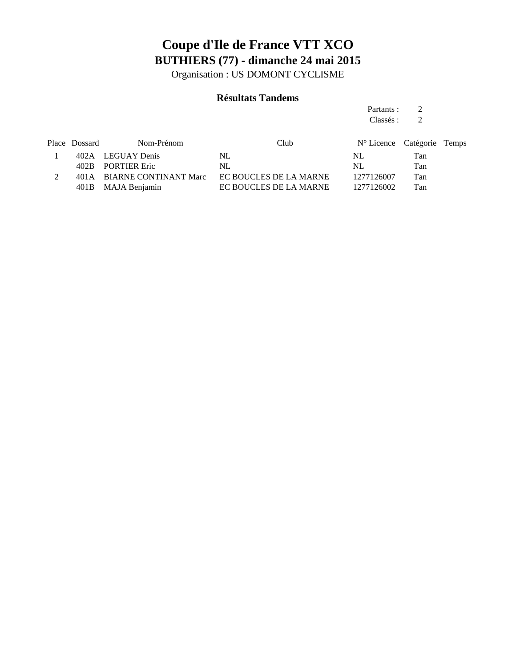Organisation : US DOMONT CYCLISME

#### **Résultats Tandems**

Partants : 2 Classés : 2

| Place Dossard | Nom-Prénom                 | Club.                  | N° Licence Catégorie Temps |     |  |
|---------------|----------------------------|------------------------|----------------------------|-----|--|
|               | 402A LEGUAY Denis          | NL                     | NL                         | Tan |  |
|               | 402B PORTIER Eric          | NL                     | NL                         | Tan |  |
|               | 401A BIARNE CONTINANT Marc | EC BOUCLES DE LA MARNE | 1277126007                 | Tan |  |
|               | 401B MAJA Benjamin         | EC BOUCLES DE LA MARNE | 1277126002                 | Tan |  |